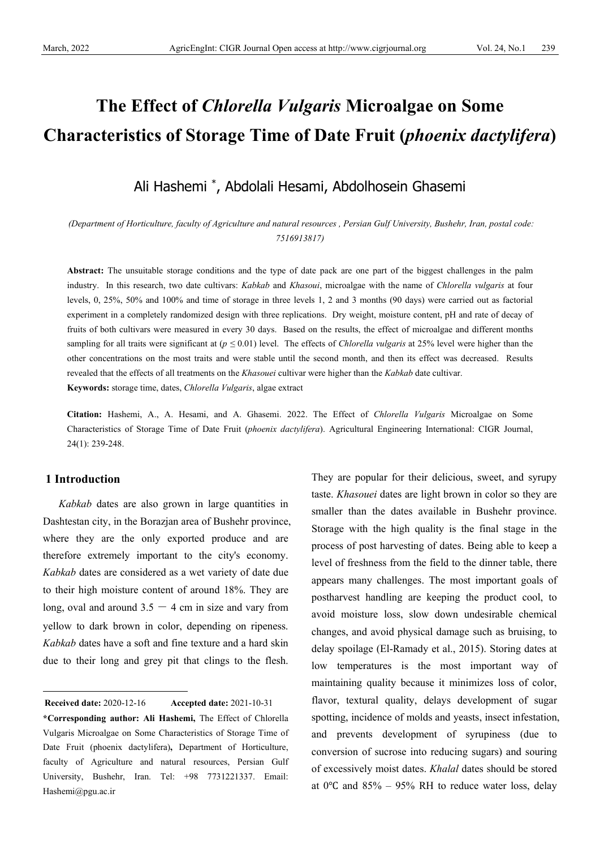# **The Effect of** *Chlorella Vulgaris* **Microalgae on Some Characteristics of Storage Time of Date Fruit (***phoenix dactylifera***)**

Ali Hashemi \* , Abdolali Hesami, Abdolhosein Ghasemi

*(Department of Horticulture, faculty of Agriculture and natural resources , Persian Gulf University, Bushehr, Iran, postal code: 7516913817)*

**Abstract:** The unsuitable storage conditions and the type of date pack are one part of the biggest challenges in the palm industry. In this research, two date cultivars: *Kabkab* and *Khasoui*, microalgae with the name of *Chlorella vulgaris* at four levels, 0, 25%, 50% and 100% and time of storage in three levels 1, 2 and 3 months (90 days) were carried out as factorial experiment in a completely randomized design with three replications. Dry weight, moisture content, pH and rate of decay of fruits of both cultivars were measured in every 30 days. Based on the results, the effect of microalgae and different months sampling for all traits were significant at (*p ≤* 0.01) level. The effects of *Chlorella vulgaris* at 25% level were higher than the other concentrations on the most traits and were stable until the second month, and then its effect was decreased. Results revealed that the effects of all treatments on the *Khasouei* cultivar were higher than the *Kabkab* date cultivar.

**Keywords:** storage time, dates, *Chlorella Vulgaris*, algae extract

**Citation:** Hashemi, A., A. Hesami, and A. Ghasemi. 2022. The Effect of *Chlorella Vulgaris* Microalgae on Some Characteristics of Storage Time of Date Fruit (*phoenix dactylifera*). Agricultural Engineering International: CIGR Journal, 24(1): 239-248.

# **1 Introduction**

*Kabkab* dates are also grown in large quantities in Dashtestan city, in the Borazjan area of Bushehr province, where they are the only exported produce and are therefore extremely important to the city's economy. *Kabkab* dates are considered as a wet variety of date due to their high moisture content of around 18%. They are long, oval and around  $3.5 - 4$  cm in size and vary from yellow to dark brown in color, depending on ripeness. *Kabkab* dates have a soft and fine texture and a hard skin due to their long and grey pit that clings to the flesh.

<span id="page-0-0"></span>**Received date: 2020-12-16 Received date:** 2020-12-16 **Accepted date:** 2021-10-31 They are popular for their delicious, sweet, and syrupy taste. *Khasouei* dates are light brown in color so they are smaller than the dates available in Bushehr province. Storage with the high quality is the final stage in the process of post harvesting of dates. Being able to keep a level of freshness from the field to the dinner table, there appears many challenges. The most important goals of postharvest handling are keeping the product cool, to avoid moisture loss, slow down undesirable chemical changes, and avoid physical damage such as bruising, to delay spoilage (El-Ramady et al., 2015). Storing dates at low temperatures is the most important way of maintaining quality because it minimizes loss of color, flavor, textural quality, delays development of sugar spotting, incidence of molds and yeasts, insect infestation, and prevents development of syrupiness (due to conversion of sucrose into reducing sugars) and souring of excessively moist dates. *Khalal* dates should be stored at 0 $\degree$ C and 85% – 95% RH to reduce water loss, delay

**<sup>\*</sup>Corresponding author: Ali Hashemi,** The Effect of Chlorella Vulgaris Microalgae on Some Characteristics of Storage Time of Date Fruit (phoenix dactylifera)**,** Department of Horticulture, faculty of Agriculture and natural resources, Persian Gulf University, Bushehr, Iran. Tel: +98 7731221337. Email: Hashemi@pgu.ac.ir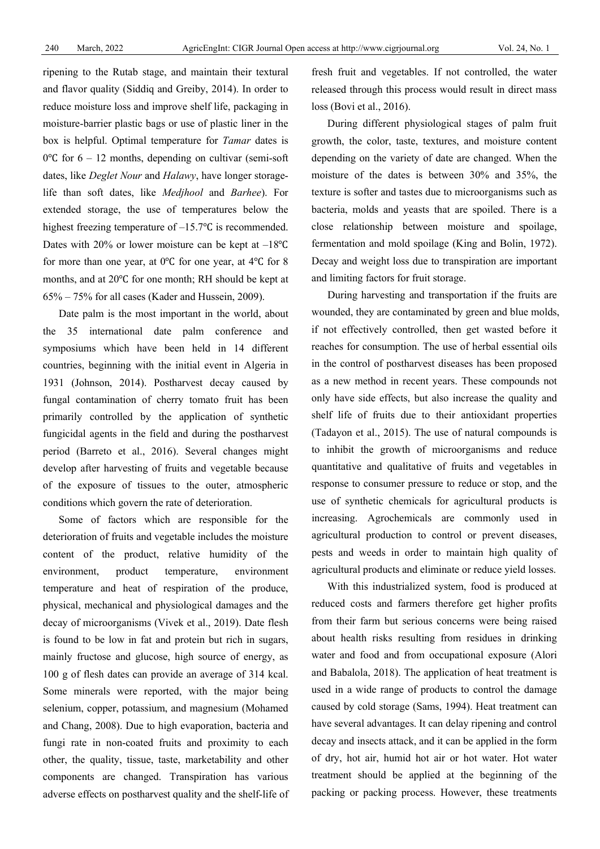ripening to the Rutab stage, and maintain their textural and flavor quality (Siddiq and Greiby, 2014). In order to reduce moisture loss and improve shelf life, packaging in moisture-barrier plastic bags or use of plastic liner in the box is helpful. Optimal temperature for *Tamar* dates is 0 $\degree$ C for 6 – 12 months, depending on cultivar (semi-soft dates, like *Deglet Nour* and *Halawy*, have longer storagelife than soft dates, like *Medjhool* and *Barhee*). For extended storage, the use of temperatures below the highest freezing temperature of –15.7℃ is recommended. Dates with 20% or lower moisture can be kept at –18℃ for more than one year, at 0℃ for one year, at 4℃ for 8 months, and at 20℃ for one month; RH should be kept at 65% – 75% for all cases (Kader and Hussein, 2009).

Date palm is the most important in the world, about the 35 international date palm conference and symposiums which have been held in 14 different countries, beginning with the initial event in Algeria in 1931 (Johnson, 2014). Postharvest decay caused by fungal contamination of cherry tomato fruit has been primarily controlled by the application of synthetic fungicidal agents in the field and during the postharvest period (Barreto et al., 2016). Several changes might develop after harvesting of fruits and vegetable because of the exposure of tissues to the outer, atmospheric conditions which govern the rate of deterioration.

Some of factors which are responsible for the deterioration of fruits and vegetable includes the moisture content of the product, relative humidity of the environment, product temperature, environment temperature and heat of respiration of the produce, physical, mechanical and physiological damages and the decay of microorganisms (Vivek et al., 2019). Date flesh is found to be low in fat and protein but rich in sugars, mainly fructose and glucose, high source of energy, as 100 g of flesh dates can provide an average of 314 kcal. Some minerals were reported, with the major being selenium, copper, potassium, and magnesium (Mohamed and Chang, 2008). Due to high evaporation, bacteria and fungi rate in non-coated fruits and proximity to each other, the quality, tissue, taste, marketability and other components are changed. Transpiration has various adverse effects on postharvest quality and the shelf-life of fresh fruit and vegetables. If not controlled, the water released through this process would result in direct mass loss (Bovi et al., 2016).

During different physiological stages of palm fruit growth, the color, taste, textures, and moisture content depending on the variety of date are changed. When the moisture of the dates is between 30% and 35%, the texture is softer and tastes due to microorganisms such as bacteria, molds and yeasts that are spoiled. There is a close relationship between moisture and spoilage, fermentation and mold spoilage (King and Bolin, 1972). Decay and weight loss due to transpiration are important and limiting factors for fruit storage.

During harvesting and transportation if the fruits are wounded, they are contaminated by green and blue molds, if not effectively controlled, then get wasted before it reaches for consumption. The use of herbal essential oils in the control of postharvest diseases has been proposed as a new method in recent years. These compounds not only have side effects, but also increase the quality and shelf life of fruits due to their antioxidant properties (Tadayon et al., 2015). The use of natural compounds is to inhibit the growth of microorganisms and reduce quantitative and qualitative of fruits and vegetables in response to consumer pressure to reduce or stop, and the use of synthetic chemicals for agricultural products is increasing. Agrochemicals are commonly used in agricultural production to control or prevent diseases, pests and weeds in order to maintain high quality of agricultural products and eliminate or reduce yield losses.

With this industrialized system, food is produced at reduced costs and farmers therefore get higher profits from their farm but serious concerns were being raised about health risks resulting from residues in drinking water and food and from occupational exposure [\(Alori](https://www.researchgate.net/profile/Elizabeth-Alori) and Babalola, 2018). The application of heat treatment is used in a wide range of products to control the damage caused by cold storage (Sams, 1994). Heat treatment can have several advantages. It can delay ripening and control decay and insects attack, and it can be applied in the form of dry, hot air, humid hot air or hot water. Hot water treatment should be applied at the beginning of the packing or packing process. However, these treatments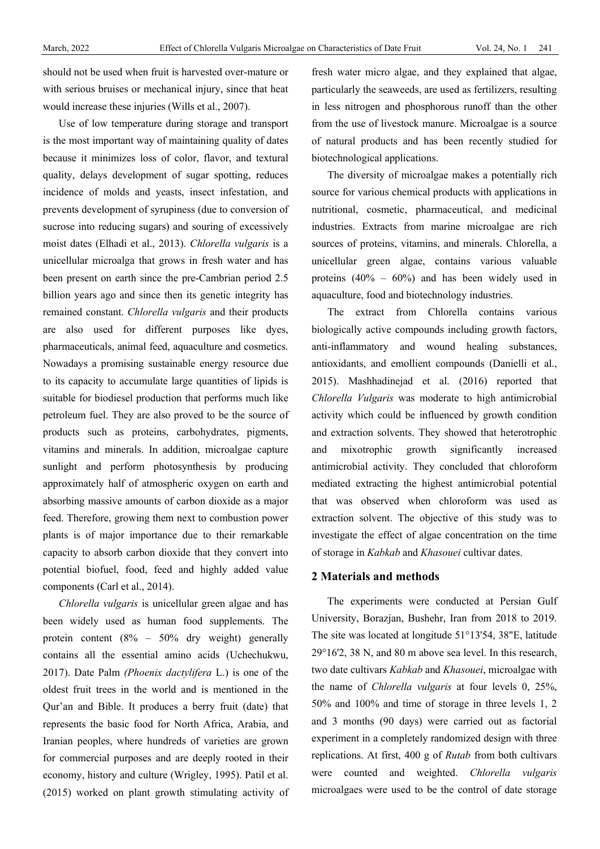should not be used when fruit is harvested over-mature or with serious bruises or mechanical injury, since that heat would increase these injuries [\(Wills et al., 2007\)](https://scialert.net/fulltext/?doi=ajps.2014.87.92#88917_b).

Use of low temperature during storage and transport is the most important way of maintaining quality of dates because it minimizes loss of color, flavor, and textural quality, delays development of sugar spotting, reduces incidence of molds and yeasts, insect infestation, and prevents development of syrupiness (due to conversion of sucrose into reducing sugars) and souring of excessively moist dates (Elhadi et al., 2013). *Chlorella vulgaris* is a unicellular microalga that grows in fresh water and has been present on earth since the pre-Cambrian period 2.5 billion years ago and since then its genetic integrity has remained constant. *Chlorella vulgaris* and their products are also used for different purposes like dyes, pharmaceuticals, animal feed, aquaculture and cosmetics. Nowadays a promising sustainable energy resource due to its capacity to accumulate large quantities of lipids is suitable for biodiesel production that performs much like petroleum fuel. They are also proved to be the source of products such as proteins, carbohydrates, pigments, vitamins and minerals. In addition, microalgae capture sunlight and perform photosynthesis by producing approximately half of atmospheric oxygen on earth and absorbing massive amounts of carbon dioxide as a major feed. Therefore, growing them next to combustion power plants is of major importance due to their remarkable capacity to absorb carbon dioxide that they convert into potential biofuel, food, feed and highly added value components (Carl et al., 2014).

*Chlorella vulgaris* is unicellular green algae and has been widely used as human food supplements. The protein content (8% – 50% dry weight) generally contains all the essential amino acids (Uchechukwu, 2017). Date Palm *(Phoenix dactylifera* L.) is one of the oldest fruit trees in the world and is mentioned in the Qur'an and Bible. It produces a berry fruit (date) that represents the basic food for North Africa, Arabia, and Iranian peoples, where hundreds of varieties are grown for commercial purposes and are deeply rooted in their economy, history and culture (Wrigley, 1995). Patil et al. (2015) worked on plant growth stimulating activity of

fresh water micro algae, and they explained that algae, particularly the seaweeds, are used as fertilizers, resulting in less nitrogen and phosphorous runoff than the other from the use of livestock manure. Microalgae is a source of natural products and has been recently studied for biotechnological applications.

The diversity of microalgae makes a potentially rich source for various chemical products with applications in nutritional, cosmetic, pharmaceutical, and medicinal industries. Extracts from marine microalgae are rich sources of proteins, vitamins, and minerals. Chlorella, a unicellular green algae, contains various valuable proteins  $(40\% - 60\%)$  and has been widely used in aquaculture, food and biotechnology industries.

The extract from Chlorella contains various biologically active compounds including growth factors, anti-inflammatory and wound healing substances, antioxidants, and emollient compounds (Danielli et al., 2015). Mashhadinejad et al. (2016) reported that *Chlorella Vulgaris* was moderate to high antimicrobial activity which could be influenced by growth condition and extraction solvents. They showed that heterotrophic and mixotrophic growth significantly increased antimicrobial activity. They concluded that chloroform mediated extracting the highest antimicrobial potential that was observed when chloroform was used as extraction solvent. The objective of this study was to investigate the effect of algae concentration on the time of storage in *Kabkab* and *Khasouei* cultivar dates.

#### **2 Materials and methods**

The experiments were conducted at Persian Gulf University, Borazjan, Bushehr, Iran from 2018 to 2019. The site was located at longitude 51°13'54, 38"E, latitude 29°16'2, 38 N, and 80 m above sea level. In this research, two date cultivars *Kabkab* and *Khasouei*, microalgae with the name of *Chlorella vulgaris* at four levels 0, 25%, 50% and 100% and time of storage in three levels 1, 2 and 3 months (90 days) were carried out as factorial experiment in a completely randomized design with three replications. At first, 400 g of *Rutab* from both cultivars were counted and weighted. *Chlorella vulgaris* microalgaes were used to be the control of date storage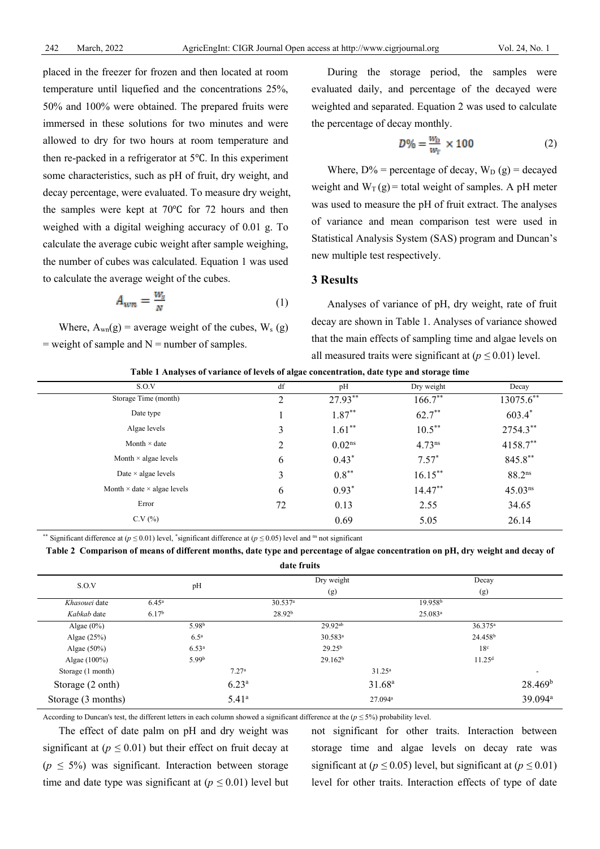placed in the freezer for frozen and then located at room temperature until liquefied and the concentrations 25%, 50% and 100% were obtained. The prepared fruits were immersed in these solutions for two minutes and were allowed to dry for two hours at room temperature and then re-packed in a refrigerator at 5℃. In this experiment some characteristics, such as pH of fruit, dry weight, and decay percentage, were evaluated. To measure dry weight, the samples were kept at 70℃ for 72 hours and then weighed with a digital weighing accuracy of 0.01 g. To calculate the average cubic weight after sample weighing, the number of cubes was calculated. Equation 1 was used to calculate the average weight of the cubes.

$$
A_{\rm wn} = \frac{W_x}{N} \tag{1}
$$

Where,  $A_{wn}(g)$  = average weight of the cubes,  $W_s(g)$  $=$  weight of sample and  $N =$  number of samples.

During the storage period, the samples were evaluated daily, and percentage of the decayed were weighted and separated. Equation 2 was used to calculate the percentage of decay monthly.

$$
D\% = \frac{w_{\rm D}}{w_{\rm F}} \times 100\tag{2}
$$

Where,  $D\%$  = percentage of decay,  $W_D(g)$  = decayed weight and  $W_T(g)$  = total weight of samples. A pH meter was used to measure the pH of fruit extract. The analyses of variance and mean comparison test were used in Statistical Analysis System (SAS) program and Duncan's new multiple test respectively.

## **3 Results**

Analyses of variance of pH, dry weight, rate of fruit decay are shown in Table 1. Analyses of variance showed that the main effects of sampling time and algae levels on all measured traits were significant at  $(p \le 0.01)$  level.

| S.O.V                                     | df | pH                 | Dry weight         | Decay              |
|-------------------------------------------|----|--------------------|--------------------|--------------------|
| Storage Time (month)                      | 2  | 27.93**            | $166.7***$         | 13075.6**          |
| Date type                                 |    | $1.87***$          | $62.7***$          | 603.4*             |
| Algae levels                              | 3  | $1.61**$           | $10.5***$          | 2754.3**           |
| Month $\times$ date                       | 2  | 0.02 <sup>ns</sup> | 4.73 <sup>ns</sup> | 4158.7**           |
| Month $\times$ algae levels               | 6  | $0.43*$            | $7.57*$            | 845.8**            |
| Date $\times$ algae levels                | 3  | $0.8***$           | $16.15***$         | 88.2 <sup>ns</sup> |
| Month $\times$ date $\times$ algae levels | 6  | $0.93*$            | $14.47**$          | $45.03^{ns}$       |
| Error                                     | 72 | 0.13               | 2.55               | 34.65              |
| C.V(%)                                    |    | 0.69               | 5.05               | 26.14              |

**Table 1 Analyses of variance of levels of algae concentration, date type and storage time**

\*\* Significant difference at  $(p \le 0.01)$  level, \*significant difference at  $(p \le 0.05)$  level and <sup>ns</sup> not significant

#### **Table 2 Comparison of means of different months, date type and percentage of algae concentration on pH, dry weight and decay of**

| date fruits        |                   |                    |                     |                     |                          |  |  |  |  |
|--------------------|-------------------|--------------------|---------------------|---------------------|--------------------------|--|--|--|--|
| S.O.V              | pH                |                    | Dry weight          | Decay               |                          |  |  |  |  |
|                    |                   |                    | (g)                 | (g)                 |                          |  |  |  |  |
| Khasouei date      | $6.45^{\rm a}$    | 30.537a            |                     | 19.958 <sup>b</sup> |                          |  |  |  |  |
| Kabkab date        | 6.17 <sup>b</sup> | 28.92 <sup>b</sup> |                     | $25.083^a$          |                          |  |  |  |  |
| Algae $(0\%)$      | 5.98 <sup>b</sup> |                    | 29.92ab             | $36.375^{\rm a}$    |                          |  |  |  |  |
| Algae $(25%)$      | 6.5 <sup>a</sup>  |                    | $30.583^a$          | 24.458 <sup>b</sup> |                          |  |  |  |  |
| Algae $(50\%)$     | 6.53 <sup>a</sup> |                    | $29.25^{b}$         | 18 <sup>c</sup>     |                          |  |  |  |  |
| Algae $(100\%)$    | 5.99 <sup>b</sup> |                    | 29.162 <sup>b</sup> | 11.25 <sup>d</sup>  |                          |  |  |  |  |
| Storage (1 month)  |                   | 7.27 <sup>a</sup>  | $31.25^a$           |                     | $\overline{\phantom{a}}$ |  |  |  |  |
| Storage (2 onth)   |                   | $6.23^{\rm a}$     | 31.68 <sup>a</sup>  |                     | 28.469 <sup>b</sup>      |  |  |  |  |
| Storage (3 months) |                   | 5.41 <sup>a</sup>  | 27.094 <sup>a</sup> |                     | 39.094 <sup>a</sup>      |  |  |  |  |

According to Duncan's test, the different letters in each column showed a significant difference at the (*p ≤* 5%) probability level.

The effect of date palm on pH and dry weight was significant at ( $p \leq 0.01$ ) but their effect on fruit decay at (*p ≤* 5%) was significant. Interaction between storage time and date type was significant at  $(p \leq 0.01)$  level but not significant for other traits. Interaction between storage time and algae levels on decay rate was significant at ( $p \le 0.05$ ) level, but significant at ( $p \le 0.01$ ) level for other traits. Interaction effects of type of date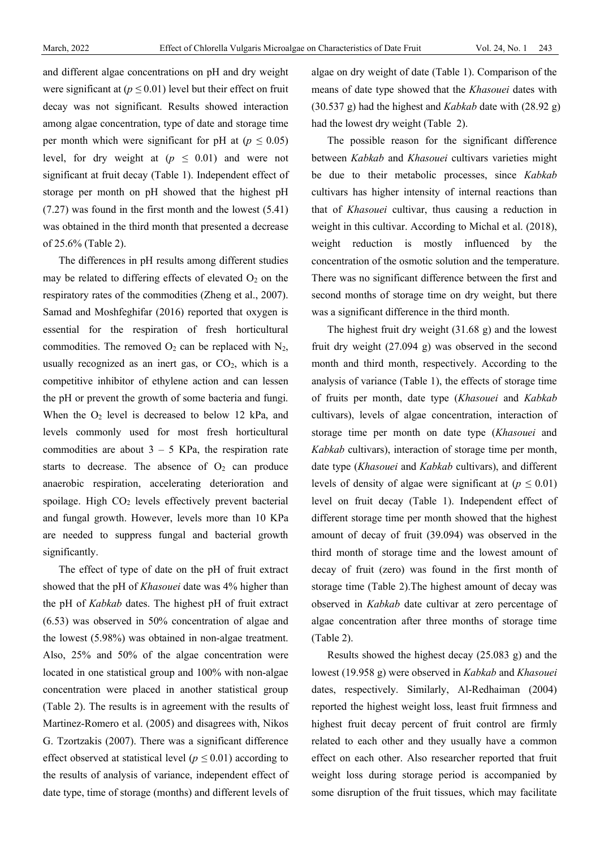and different algae concentrations on pH and dry weight were significant at ( $p \le 0.01$ ) level but their effect on fruit decay was not significant. Results showed interaction among algae concentration, type of date and storage time per month which were significant for pH at  $(p \le 0.05)$ level, for dry weight at  $(p \le 0.01)$  and were not significant at fruit decay (Table 1). Independent effect of storage per month on pH showed that the highest pH (7.27) was found in the first month and the lowest (5.41) was obtained in the third month that presented a decrease of 25.6% (Table 2).

The differences in pH results among different studies may be related to differing effects of elevated  $O<sub>2</sub>$  on the respiratory rates of the commodities (Zheng et al., 2007). Samad and Moshfeghifar (2016) reported that oxygen is essential for the respiration of fresh horticultural commodities. The removed  $O_2$  can be replaced with  $N_2$ , usually recognized as an inert gas, or  $CO<sub>2</sub>$ , which is a competitive inhibitor of ethylene action and can lessen the pH or prevent the growth of some bacteria and fungi. When the  $O_2$  level is decreased to below 12 kPa, and levels commonly used for most fresh horticultural commodities are about  $3 - 5$  KPa, the respiration rate starts to decrease. The absence of  $O<sub>2</sub>$  can produce anaerobic respiration, accelerating deterioration and spoilage. High  $CO<sub>2</sub>$  levels effectively prevent bacterial and fungal growth. However, levels more than 10 KPa are needed to suppress fungal and bacterial growth significantly.

The effect of type of date on the pH of fruit extract showed that the pH of *Khasouei* date was 4% higher than the pH of *Kabkab* dates. The highest pH of fruit extract (6.53) was observed in 50% concentration of algae and the lowest (5.98%) was obtained in non-algae treatment. Also, 25% and 50% of the algae concentration were located in one statistical group and 100% with non-algae concentration were placed in another statistical group (Table 2). The results is in agreement with the results of Martinez-Romero et al. (2005) and disagrees with, Nikos G. Tzortzakis (2007). There was a significant difference effect observed at statistical level ( $p \leq 0.01$ ) according to the results of analysis of variance, independent effect of date type, time of storage (months) and different levels of algae on dry weight of date (Table 1). Comparison of the means of date type showed that the *Khasouei* dates with (30.537 g) had the highest and *Kabkab* date with (28.92 g) had the lowest dry weight (Table 2).

The possible reason for the significant difference between *Kabkab* and *Khasouei* cultivars varieties might be due to their metabolic processes, since *Kabkab* cultivars has higher intensity of internal reactions than that of *Khasouei* cultivar, thus causing a reduction in weight in this cultivar. According to Michal et al. (2018), weight reduction is mostly influenced by the concentration of the osmotic solution and the temperature. There was no significant difference between the first and second months of storage time on dry weight, but there was a significant difference in the third month.

The highest fruit dry weight (31.68 g) and the lowest fruit dry weight (27.094 g) was observed in the second month and third month, respectively. According to the analysis of variance (Table 1), the effects of storage time of fruits per month, date type (*Khasouei* and *Kabkab* cultivars), levels of algae concentration, interaction of storage time per month on date type (*Khasouei* and *Kabkab* cultivars), interaction of storage time per month, date type (*Khasouei* and *Kabkab* cultivars), and different levels of density of algae were significant at  $(p \leq 0.01)$ level on fruit decay (Table 1). Independent effect of different storage time per month showed that the highest amount of decay of fruit (39.094) was observed in the third month of storage time and the lowest amount of decay of fruit (zero) was found in the first month of storage time (Table 2).The highest amount of decay was observed in *Kabkab* date cultivar at zero percentage of algae concentration after three months of storage time (Table 2).

Results showed the highest decay (25.083 g) and the lowest (19.958 g) were observed in *Kabkab* and *Khasouei* dates, respectively. Similarly, Al-Redhaiman (2004) reported the highest weight loss, least fruit firmness and highest fruit decay percent of fruit control are firmly related to each other and they usually have a common effect on each other. Also researcher reported that fruit weight loss during storage period is accompanied by some disruption of the fruit tissues, which may facilitate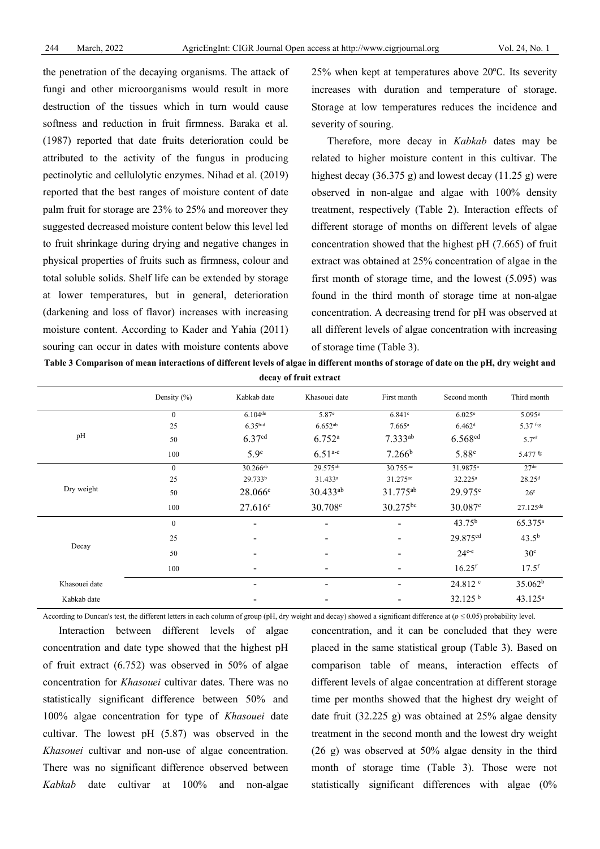the penetration of the decaying organisms. The attack of fungi and other microorganisms would result in more destruction of the tissues which in turn would cause softness and reduction in fruit firmness. Baraka et al. (1987) reported that date fruits deterioration could be attributed to the activity of the fungus in producing pectinolytic and cellulolytic enzymes. Nihad et al. (2019) reported that the best ranges of moisture content of date palm fruit for storage are 23% to 25% and moreover they suggested decreased moisture content below this level led to fruit shrinkage during drying and negative changes in physical properties of fruits such as firmness, colour and total soluble solids. Shelf life can be extended by storage at lower temperatures, but in general, deterioration (darkening and loss of flavor) increases with increasing moisture content. According to Kader and Yahia (2011) souring can occur in dates with moisture contents above 25% when kept at temperatures above 20℃. Its severity increases with duration and temperature of storage. Storage at low temperatures reduces the incidence and severity of souring.

Therefore, more decay in *Kabkab* dates may be related to higher moisture content in this cultivar. The highest decay  $(36.375 \text{ g})$  and lowest decay  $(11.25 \text{ g})$  were observed in non-algae and algae with 100% density treatment, respectively (Table 2). Interaction effects of different storage of months on different levels of algae concentration showed that the highest pH (7.665) of fruit extract was obtained at 25% concentration of algae in the first month of storage time, and the lowest (5.095) was found in the third month of storage time at non-algae concentration. A decreasing trend for pH was observed at all different levels of algae concentration with increasing of storage time (Table 3).

| uttay of if the txtract                  |              |                          |                          |                      |                      |                      |  |  |
|------------------------------------------|--------------|--------------------------|--------------------------|----------------------|----------------------|----------------------|--|--|
|                                          | Density (%)  | Kabkab date              | Khasouei date            | First month          | Second month         | Third month          |  |  |
| $\mathbf{0}$<br>25<br>pH<br>50<br>100    |              | $6.104$ <sup>de</sup>    | 5.87 <sup>e</sup>        | 6.841c               | 6.025 <sup>e</sup>   | 5.095g               |  |  |
|                                          |              | $6.35b-d$                | $6.652^{ab}$             | $7.665^{\rm a}$      | 6.462 <sup>d</sup>   | $5.37$ f-g           |  |  |
|                                          |              | 6.37 <sup>cd</sup>       | $6.752^{a}$              | $7.333^{ab}$         | 6.568 <sup>cd</sup>  | 5.7 <sup>ef</sup>    |  |  |
|                                          |              | 5.9 <sup>e</sup>         | $6.51^{a-c}$             | 7.266 <sup>b</sup>   | 5.88 <sup>e</sup>    | $5.477$ fg           |  |  |
| Dry weight                               | $\mathbf{0}$ | 30.266ab                 | 29.575ab                 | $30.755$ ac          | 31.9875 <sup>a</sup> | 27 <sup>de</sup>     |  |  |
|                                          | 25           | 29.733b                  | 31.433 <sup>a</sup>      | 31.275 <sup>ac</sup> | 32.225 <sup>a</sup>  | 28.25 <sup>d</sup>   |  |  |
|                                          | 50           | 28.066c                  | $30.433^{ab}$            | 31.775 <sup>ab</sup> | $29.975^{\circ}$     | 26 <sup>e</sup>      |  |  |
|                                          | 100          | 27.616c                  | 30.708 <sup>c</sup>      | $30.275^{bc}$        | $30.087^{\circ}$     | $27.125^{\text{de}}$ |  |  |
| $\mathbf{0}$<br>25<br>Decay<br>50<br>100 |              | -                        | ۰                        |                      | 43.75 <sup>b</sup>   | 65.375 <sup>a</sup>  |  |  |
|                                          |              |                          |                          |                      | 29.875 <sup>cd</sup> | $43.5^{b}$           |  |  |
|                                          |              |                          |                          |                      | $24c-e$              | 30 <sup>c</sup>      |  |  |
|                                          |              |                          |                          |                      | $16.25$ <sup>f</sup> | $17.5$ <sup>f</sup>  |  |  |
| Khasouei date                            |              | $\overline{\phantom{0}}$ | $\overline{\phantom{a}}$ | ۰                    | $24.812$ $\degree$   | 35.062 <sup>b</sup>  |  |  |
| Kabkab date                              |              |                          |                          |                      | 32.125 <sup>b</sup>  | $43.125^a$           |  |  |

**Table 3 Comparison of mean interactions of different levels of algae in different months of storage of date on the pH, dry weight and decay of fruit extract**

According to Duncan's test, the different letters in each column of group (pH, dry weight and decay) showed a significant difference at (*p ≤* 0.05) probability level.

Interaction between different levels of algae concentration and date type showed that the highest pH of fruit extract (6.752) was observed in 50% of algae concentration for *Khasouei* cultivar dates. There was no statistically significant difference between 50% and 100% algae concentration for type of *Khasouei* date cultivar. The lowest pH (5.87) was observed in the *Khasouei* cultivar and non-use of algae concentration. There was no significant difference observed between *Kabkab* date cultivar at 100% and non-algae

concentration, and it can be concluded that they were placed in the same statistical group (Table 3). Based on comparison table of means, interaction effects of different levels of algae concentration at different storage time per months showed that the highest dry weight of date fruit (32.225 g) was obtained at 25% algae density treatment in the second month and the lowest dry weight (26 g) was observed at 50% algae density in the third month of storage time (Table 3). Those were not statistically significant differences with algae (0%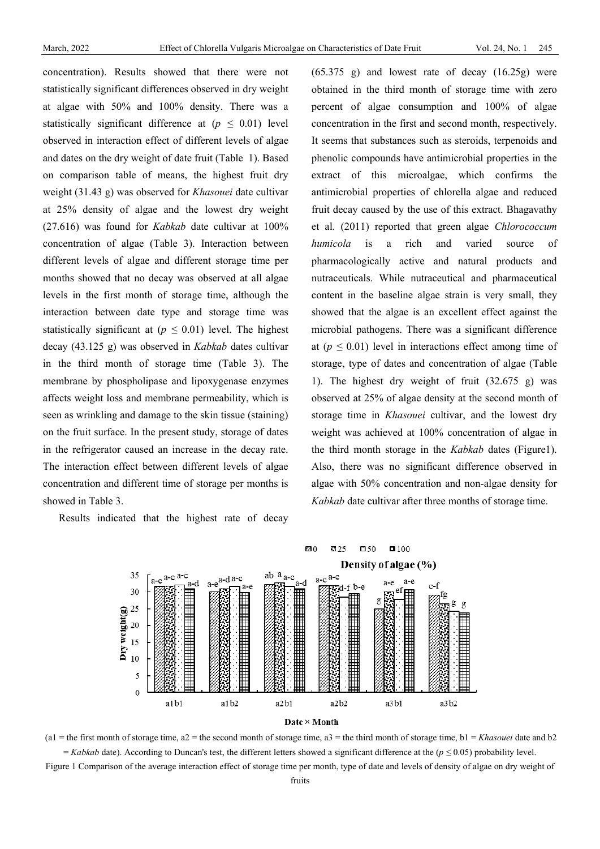concentration). Results showed that there were not statistically significant differences observed in dry weight at algae with 50% and 100% density. There was a statistically significant difference at  $(p \leq 0.01)$  level observed in interaction effect of different levels of algae and dates on the dry weight of date fruit (Table 1). Based on comparison table of means, the highest fruit dry weight (31.43 g) was observed for *Khasouei* date cultivar at 25% density of algae and the lowest dry weight (27.616) was found for *Kabkab* date cultivar at 100% concentration of algae (Table 3). Interaction between different levels of algae and different storage time per months showed that no decay was observed at all algae levels in the first month of storage time, although the interaction between date type and storage time was statistically significant at ( $p \leq 0.01$ ) level. The highest decay (43.125 g) was observed in *Kabkab* dates cultivar in the third month of storage time (Table 3). The membrane by phospholipase and lipoxygenase enzymes affects weight loss and membrane permeability, which is seen as wrinkling and damage to the skin tissue (staining) on the fruit surface. In the present study, storage of dates in the refrigerator caused an increase in the decay rate. The interaction effect between different levels of algae concentration and different time of storage per months is showed in Table 3.

Results indicated that the highest rate of decay

 $(65.375 \text{ g})$  and lowest rate of decay  $(16.25g)$  were obtained in the third month of storage time with zero percent of algae consumption and 100% of algae concentration in the first and second month, respectively. It seems that substances such as steroids, terpenoids and phenolic compounds have antimicrobial properties in the extract of this microalgae, which confirms the antimicrobial properties of chlorella algae and reduced fruit decay caused by the use of this extract. Bhagavathy et al. (2011) reported that green algae *Chlorococcum humicola* is a rich and varied source of pharmacologically active and natural products and nutraceuticals. While nutraceutical and pharmaceutical content in the baseline algae strain is very small, they showed that the algae is an excellent effect against the microbial pathogens. There was a significant difference at  $(p \leq 0.01)$  level in interactions effect among time of storage, type of dates and concentration of algae (Table 1). The highest dry weight of fruit (32.675 g) was observed at 25% of algae density at the second month of storage time in *Khasouei* cultivar, and the lowest dry weight was achieved at 100% concentration of algae in the third month storage in the *Kabkab* dates (Figure1). Also, there was no significant difference observed in algae with 50% concentration and non-algae density for *Kabkab* date cultivar after three months of storage time.





Figure 1 Comparison of the average interaction effect of storage time per month, type of date and levels of density of algae on dry weight of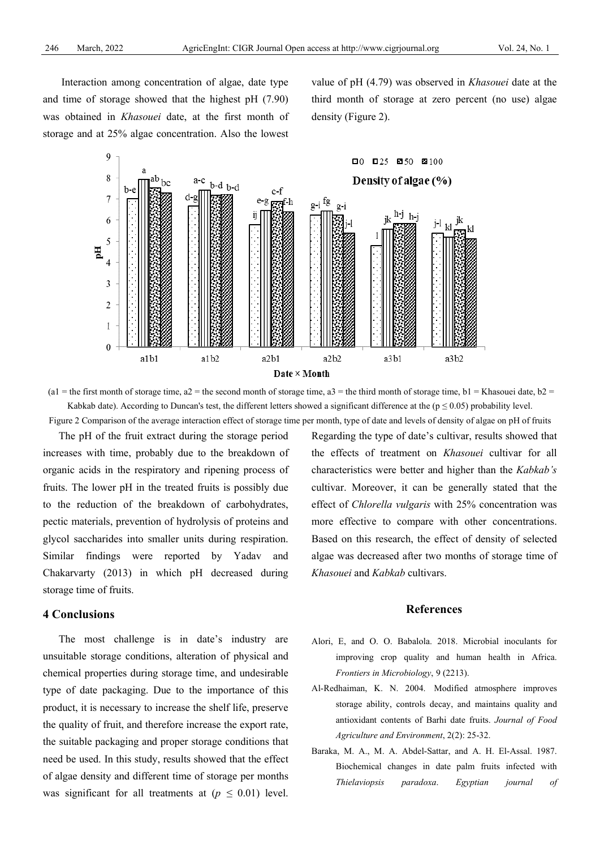Interaction among concentration of algae, date type and time of storage showed that the highest pH (7.90) was obtained in *Khasouei* date, at the first month of storage and at 25% algae concentration. Also the lowest

value of pH (4.79) was observed in *Khasouei* date at the third month of storage at zero percent (no use) algae density (Figure 2).



(a1 = the first month of storage time, a2 = the second month of storage time, a3 = the third month of storage time, b1 = Khasouei date, b2 = Kabkab date). According to Duncan's test, the different letters showed a significant difference at the ( $p \le 0.05$ ) probability level. Figure 2 Comparison of the average interaction effect of storage time per month, type of date and levels of density of algae on pH of fruits

The pH of the fruit extract during the storage period increases with time, probably due to the breakdown of organic acids in the respiratory and ripening process of fruits. The lower pH in the treated fruits is possibly due to the reduction of the breakdown of carbohydrates, pectic materials, prevention of hydrolysis of proteins and glycol saccharides into smaller units during respiration. Similar findings were reported by Yadav and Chakarvarty (2013) in which pH decreased during storage time of fruits.

## **4 Conclusions**

The most challenge is in date's industry are unsuitable storage conditions, alteration of physical and chemical properties during storage time, and undesirable type of date packaging. Due to the importance of this product, it is necessary to increase the shelf life, preserve the quality of fruit, and therefore increase the export rate, the suitable packaging and proper storage conditions that need be used. In this study, results showed that the effect of algae density and different time of storage per months was significant for all treatments at  $(p \leq 0.01)$  level.

Regarding the type of date's cultivar, results showed that the effects of treatment on *Khasouei* cultivar for all characteristics were better and higher than the *Kabkab's* cultivar. Moreover, it can be generally stated that the effect of *Chlorella vulgaris* with 25% concentration was more effective to compare with other concentrations. Based on this research, the effect of density of selected algae was decreased after two months of storage time of *Khasouei* and *Kabkab* cultivars.

## **References**

- [Alori,](https://www.researchgate.net/profile/Elizabeth-Alori) E, and O. O. Babalola. 2018. Microbial inoculants for improving crop quality and human health in Africa. *Frontiers in Microbiology*, 9 (2213).
- Al-Redhaiman, K. N. 2004. Modified atmosphere improves storage ability, controls decay, and maintains quality and antioxidant contents of Barhi date fruits. *Journal of Food Agriculture and Environment*, 2(2): 25-32.
- Baraka, M. A., M. A. Abdel-Sattar, and A. H. El-Assal. 1987. Biochemical changes in date palm fruits infected with *Thielaviopsis paradoxa*. *Egyptian journal of*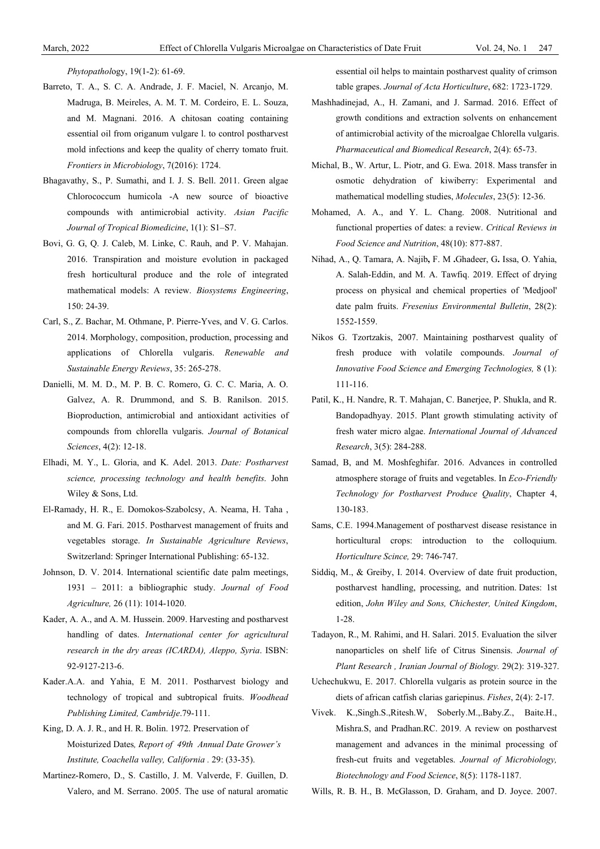*Phytopathol*ogy, 19(1-2): 61-69.

- Barreto, T. A., S. C. A. Andrade, J. F. Maciel, N. Arcanjo, M. Madruga, B. Meireles, A. M. T. M. Cordeiro, E. L. Souza, and M. Magnani. 2016. A chitosan coating containing essential oil from origanum vulgare l. to control postharvest mold infections and keep the quality of cherry tomato fruit. *Frontiers in Microbiology*, 7(2016): 1724.
- Bhagavathy, S., P. Sumathi, and I. J. S. Bell. 2011. Green algae Chlorococcum humicola -A new source of bioactive compounds with antimicrobial activity. *Asian Pacific Journal of Tropical Biomedicine*, 1(1): S1–S7.
- Bovi, G. G, Q. J. Caleb, M. Linke, C. Rauh, and P. V. Mahajan. 2016. Transpiration and moisture evolution in packaged fresh horticultural produce and the role of integrated mathematical models: A review. *Biosystems Engineering*, 150: 24-39.
- Carl, S., Z. Bachar, M. Othmane, P. Pierre-Yves, and V. G. Carlos. 2014. Morphology, composition, production, processing and applications of Chlorella vulgaris. *Renewable and Sustainable Energy Reviews*, 35: 265-278.
- Danielli, M. M. D., M. P. B. C. Romero, G. C. C. Maria, A. O. Galvez, A. R. Drummond, and S. B. Ranilson. 2015. Bioproduction, antimicrobial and antioxidant activities of compounds from chlorella vulgaris. *Journal of Botanical Sciences*, 4(2): 12-18.
- Elhadi, M. Y., L. Gloria, and K. Adel. 2013. *Date: Postharvest science, processing technology and health benefits*. John Wiley & Sons, Ltd.
- El-Ramady, H. R., E. Domokos-Szabolcsy, A. Neama, H. Taha , and M. G. Fari. 2015. Postharvest management of fruits and vegetables storage. *In Sustainable Agriculture Reviews*, Switzerland: Springer International Publishing: 65-132.
- Johnson, D. V. 2014. International scientific date palm meetings, 1931 – 2011: a bibliographic study. *Journal of Food Agriculture,* 26 (11): 1014-1020.
- Kader, A. A., and A. M. Hussein. 2009. Harvesting and postharvest handling of dates. *International center for agricultural research in the dry areas (ICARDA), Aleppo, Syria*. ISBN: 92-9127-213-6.
- Kader.A.A. and Yahia, E M. 2011. Postharvest biology and technology of tropical and subtropical fruits. *Woodhead Publishing Limited, Cambridje*.79-111.
- King, D. A. J. R., and H. R. Bolin. 1972. Preservation of Moisturized Dates*, Report of 49th Annual Date Grower's Institute, Coachella valley, California .* 29: (33-35).
- Martinez-Romero, D., S. Castillo, J. M. Valverde, F. Guillen, D. Valero, and M. Serrano. 2005. The use of natural aromatic

essential oil helps to maintain postharvest quality of crimson table grapes. *Journal of Acta Horticulture*, 682: 1723-1729.

- Mashhadinejad, A., H. Zamani, and J. Sarmad. 2016. Effect of growth conditions and extraction solvents on enhancement of antimicrobial activity of the microalgae Chlorella vulgaris. *Pharmaceutical and Biomedical Research*, 2(4): 65-73.
- Michal, B., W. Artur, L. Piotr, and G. Ewa. 2018. Mass transfer in osmotic dehydration of kiwiberry: Experimental and mathematical modelling studies, *Molecules*, 23(5): 12-36.
- Mohamed, A. A., and Y. L. Chang. 2008. Nutritional and functional properties of dates: a review. *Critical Reviews in Food Science and Nutrition*, 48(10): 877-887.
- Nihad, A., Q. Tamara, A. Najib **,** F. M **.**Ghadeer, G**.** Issa, O. Yahia, A. Salah-Eddin, and M. A. Tawfiq. 2019. Effect of drying process on physical and chemical properties of 'Medjool' date palm fruits. *Fresenius Environmental Bulletin*, 28(2): 1552-1559.
- Nikos G. Tzortzakis, 2007. Maintaining postharvest quality of fresh produce with volatile compounds. *Journal of Innovative Food Science and Emerging Technologies,* 8 (1): 111-116.
- Patil, K., H. Nandre, R. T. Mahajan, C. Banerjee, P. Shukla, and R. Bandopadhyay. 2015. Plant growth stimulating activity of fresh water micro algae. *International Journal of Advanced Research*, 3(5): 284-288.
- Samad, B, and M. Moshfeghifar. 2016. Advances in controlled atmosphere storage of fruits and vegetables. In *Eco-Friendly Technology for Postharvest Produce Quality*, Chapter 4, 130-183.
- Sams, C.E. 1994.Management of postharvest disease resistance in horticultural crops: introduction to the colloquium. *Horticulture Scince,* 29: 746-747.
- Siddiq, M., & Greiby, I. 2014. Overview of date fruit production, postharvest handling, processing, and nutrition. Dates: 1st edition, *John Wiley and Sons, Chichester, United Kingdom*, 1-28.
- Tadayon, R., M. Rahimi, and H. Salari. 2015. Evaluation the silver nanoparticles on shelf life of Citrus Sinensis. *Journal of Plant Research , Iranian Journal of Biology.* 29(2): 319-327.
- Uchechukwu, E. 2017. Chlorella vulgaris as protein source in the diets of african catfish clarias gariepinus. *Fishes*, 2(4): 2-17.
- Vivek. K.,Singh.S.,Ritesh.W, Soberly.M.,.Baby.Z., Baite.H., Mishra.S, and Pradhan.RC. 2019. A review on postharvest management and advances in the minimal processing of fresh-cut fruits and vegetables. *Journal of Microbiology, Biotechnology and Food Science*, 8(5): 1178-1187.
- Wills, R. B. H., B. McGlasson, D. Graham, and D. Joyce. 2007.